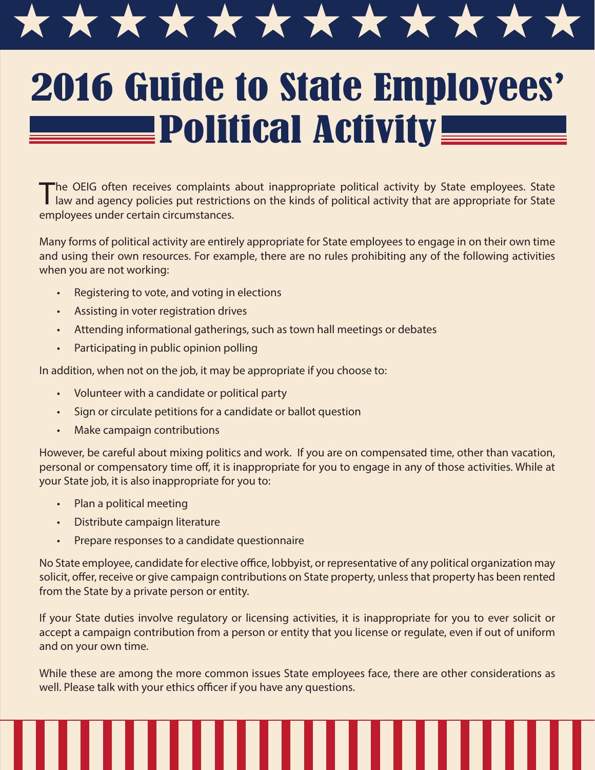

## 2016 Guide to State Employees' <u>Dolitical Activity</u>

The OEIG often receives complaints about inappropriate political activity by State employees. State law and agency policies put restrictions on the kinds of political activity that are appropriate for State employees under certain circumstances.

Many forms of political activity are entirely appropriate for State employees to engage in on their own time and using their own resources. For example, there are no rules prohibiting any of the following activities when you are not working:

- Registering to vote, and voting in elections
- Assisting in voter registration drives
- Attending informational gatherings, such as town hall meetings or debates
- Participating in public opinion polling

In addition, when not on the job, it may be appropriate if you choose to:

- Volunteer with a candidate or political party
- Sign or circulate petitions for a candidate or ballot question
- Make campaign contributions

However, be careful about mixing politics and work. If you are on compensated time, other than vacation, personal or compensatory time off, it is inappropriate for you to engage in any of those activities. While at your State job, it is also inappropriate for you to:

- Plan a political meeting
- Distribute campaign literature
- Prepare responses to a candidate questionnaire

No State employee, candidate for elective office, lobbyist, or representative of any political organization may solicit, offer, receive or give campaign contributions on State property, unless that property has been rented from the State by a private person or entity.

If your State duties involve regulatory or licensing activities, it is inappropriate for you to ever solicit or accept a campaign contribution from a person or entity that you license or regulate, even if out of uniform and on your own time.

While these are among the more common issues State employees face, there are other considerations as well. Please talk with your ethics officer if you have any questions.